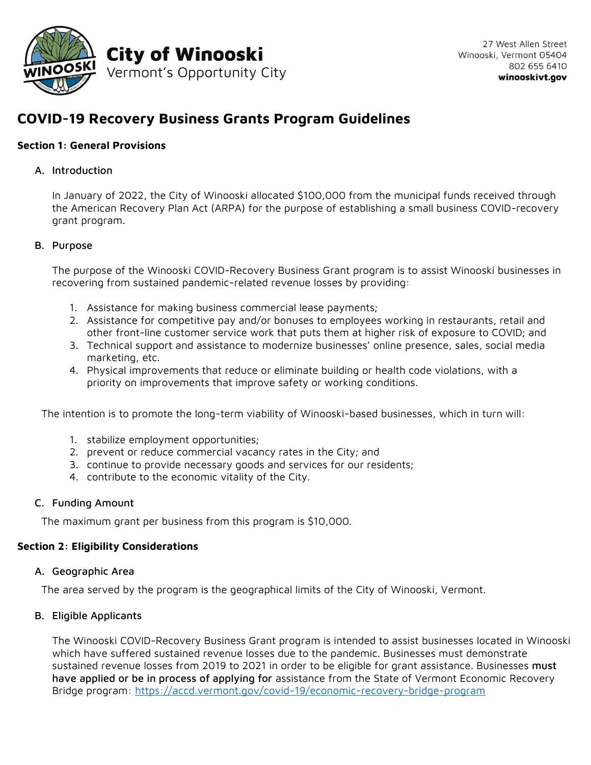

# **COVID-19 Recovery Business Grants Program Guidelines**

# **Section 1: General Provisions**

### A. Introduction

In January of 2022, the City of Winooski allocated \$100,000 from the municipal funds received through the American Recovery Plan Act (ARPA) for the purpose of establishing a small business COVID-recovery grant program.

### B. Purpose

The purpose of the Winooski COVID-Recovery Business Grant program is to assist Winooski businesses in recovering from sustained pandemic-related revenue losses by providing:

- 1. Assistance for making business commercial lease payments;
- 2. Assistance for competitive pay and/or bonuses to employees working in restaurants, retail and other front-line customer service work that puts them at higher risk of exposure to COVID; and
- 3. Technical support and assistance to modernize businesses' online presence, sales, social media marketing, etc.
- 4. Physical improvements that reduce or eliminate building or health code violations, with a priority on improvements that improve safety or working conditions.

The intention is to promote the long-term viability of Winooski-based businesses, which in turn will:

- 1. stabilize employment opportunities;
- 2. prevent or reduce commercial vacancy rates in the City; and
- 3. continue to provide necessary goods and services for our residents;
- 4. contribute to the economic vitality of the City.

### C. Funding Amount

The maximum grant per business from this program is \$10,000.

### **Section 2: Eligibility Considerations**

### A. Geographic Area

The area served by the program is the geographical limits of the City of Winooski, Vermont.

# B. Eligible Applicants

The Winooski COVID-Recovery Business Grant program is intended to assist businesses located in Winooski which have suffered sustained revenue losses due to the pandemic. Businesses must demonstrate sustained revenue losses from 2019 to 2021 in order to be eligible for grant assistance. Businesses must have applied or be in process of applying for assistance from the State of Vermont Economic Recovery Bridge program:<https://accd.vermont.gov/covid-19/economic-recovery-bridge-program>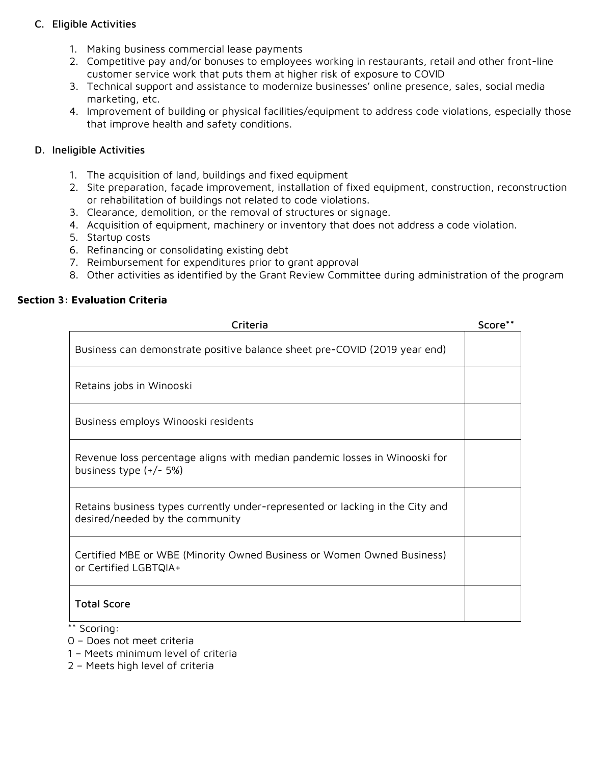# C. Eligible Activities

- 1. Making business commercial lease payments
- 2. Competitive pay and/or bonuses to employees working in restaurants, retail and other front-line customer service work that puts them at higher risk of exposure to COVID
- 3. Technical support and assistance to modernize businesses' online presence, sales, social media marketing, etc.
- 4. Improvement of building or physical facilities/equipment to address code violations, especially those that improve health and safety conditions.

### D. Ineligible Activities

- 1. The acquisition of land, buildings and fixed equipment
- 2. Site preparation, façade improvement, installation of fixed equipment, construction, reconstruction or rehabilitation of buildings not related to code violations.
- 3. Clearance, demolition, or the removal of structures or signage.
- 4. Acquisition of equipment, machinery or inventory that does not address a code violation.
- 5. Startup costs
- 6. Refinancing or consolidating existing debt
- 7. Reimbursement for expenditures prior to grant approval
- 8. Other activities as identified by the Grant Review Committee during administration of the program

### **Section 3: Evaluation Criteria**

| Criteria                                                                                                         | Score** |
|------------------------------------------------------------------------------------------------------------------|---------|
| Business can demonstrate positive balance sheet pre-COVID (2019 year end)                                        |         |
| Retains jobs in Winooski                                                                                         |         |
| Business employs Winooski residents                                                                              |         |
| Revenue loss percentage aligns with median pandemic losses in Winooski for<br>business type $(+/- 5%)$           |         |
| Retains business types currently under-represented or lacking in the City and<br>desired/needed by the community |         |
| Certified MBE or WBE (Minority Owned Business or Women Owned Business)<br>or Certified LGBTQIA+                  |         |
| <b>Total Score</b>                                                                                               |         |
| Scoring:                                                                                                         |         |

- 0 Does not meet criteria
- 1 Meets minimum level of criteria
- 2 Meets high level of criteria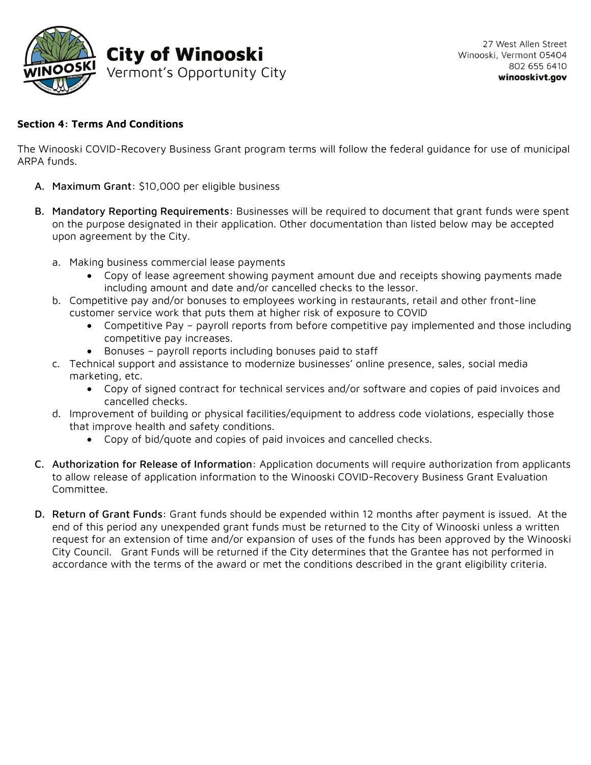

# **Section 4: Terms And Conditions**

The Winooski COVID-Recovery Business Grant program terms will follow the federal guidance for use of municipal ARPA funds.

- A. Maximum Grant: \$10,000 per eligible business
- B. Mandatory Reporting Requirements: Businesses will be required to document that grant funds were spent on the purpose designated in their application. Other documentation than listed below may be accepted upon agreement by the City.
	- a. Making business commercial lease payments
		- Copy of lease agreement showing payment amount due and receipts showing payments made including amount and date and/or cancelled checks to the lessor.
	- b. Competitive pay and/or bonuses to employees working in restaurants, retail and other front-line customer service work that puts them at higher risk of exposure to COVID
		- Competitive Pay payroll reports from before competitive pay implemented and those including competitive pay increases.
		- Bonuses payroll reports including bonuses paid to staff
	- c. Technical support and assistance to modernize businesses' online presence, sales, social media marketing, etc.
		- Copy of signed contract for technical services and/or software and copies of paid invoices and cancelled checks.
	- d. Improvement of building or physical facilities/equipment to address code violations, especially those that improve health and safety conditions.
		- Copy of bid/quote and copies of paid invoices and cancelled checks.
- C. Authorization for Release of Information: Application documents will require authorization from applicants to allow release of application information to the Winooski COVID-Recovery Business Grant Evaluation Committee.
- D. Return of Grant Funds: Grant funds should be expended within 12 months after payment is issued. At the end of this period any unexpended grant funds must be returned to the City of Winooski unless a written request for an extension of time and/or expansion of uses of the funds has been approved by the Winooski City Council. Grant Funds will be returned if the City determines that the Grantee has not performed in accordance with the terms of the award or met the conditions described in the grant eligibility criteria.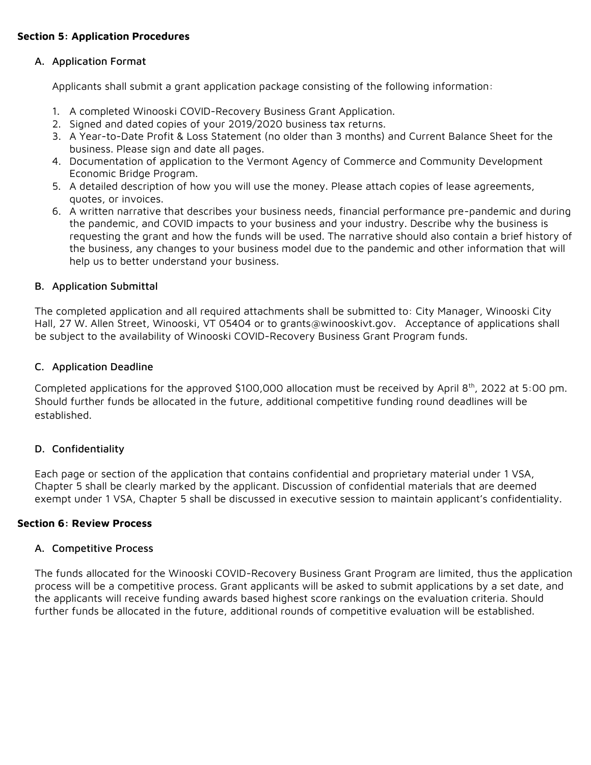# **Section 5: Application Procedures**

# A. Application Format

Applicants shall submit a grant application package consisting of the following information:

- 1. A completed Winooski COVID-Recovery Business Grant Application.
- 2. Signed and dated copies of your 2019/2020 business tax returns.
- 3. A Year-to-Date Profit & Loss Statement (no older than 3 months) and Current Balance Sheet for the business. Please sign and date all pages.
- 4. Documentation of application to the Vermont Agency of Commerce and Community Development Economic Bridge Program.
- 5. A detailed description of how you will use the money. Please attach copies of lease agreements, quotes, or invoices.
- 6. A written narrative that describes your business needs, financial performance pre-pandemic and during the pandemic, and COVID impacts to your business and your industry. Describe why the business is requesting the grant and how the funds will be used. The narrative should also contain a brief history of the business, any changes to your business model due to the pandemic and other information that will help us to better understand your business.

# B. Application Submittal

The completed application and all required attachments shall be submitted to: City Manager, Winooski City Hall, 27 W. Allen Street, Winooski, VT 05404 or to grants@winooskivt.gov. Acceptance of applications shall be subject to the availability of Winooski COVID-Recovery Business Grant Program funds.

### C. Application Deadline

Completed applications for the approved \$100,000 allocation must be received by April 8th, 2022 at 5:00 pm. Should further funds be allocated in the future, additional competitive funding round deadlines will be established.

# D. Confidentiality

Each page or section of the application that contains confidential and proprietary material under 1 VSA, Chapter 5 shall be clearly marked by the applicant. Discussion of confidential materials that are deemed exempt under 1 VSA, Chapter 5 shall be discussed in executive session to maintain applicant's confidentiality.

# **Section 6: Review Process**

### A. Competitive Process

The funds allocated for the Winooski COVID-Recovery Business Grant Program are limited, thus the application process will be a competitive process. Grant applicants will be asked to submit applications by a set date, and the applicants will receive funding awards based highest score rankings on the evaluation criteria. Should further funds be allocated in the future, additional rounds of competitive evaluation will be established.